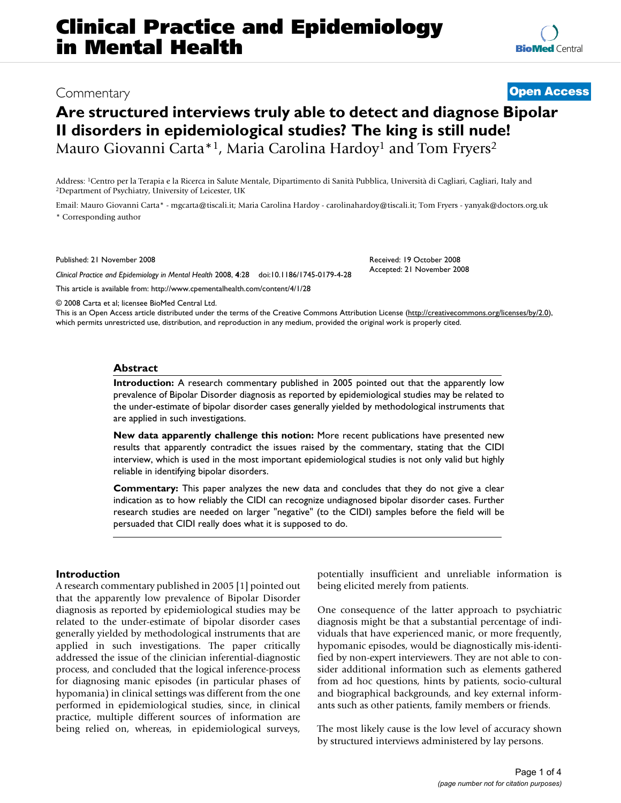# **Clinical Practice and Epidemiology in Mental Health**

### Commentary **[Open Access](http://www.biomedcentral.com/info/about/charter/)**

## **Are structured interviews truly able to detect and diagnose Bipolar II disorders in epidemiological studies? The king is still nude!** Mauro Giovanni Carta\*<sup>1</sup>, Maria Carolina Hardoy<sup>1</sup> and Tom Fryers<sup>2</sup>

Address: <sup>1</sup>Centro per la Terapia e la Ricerca in Salute Mentale, Dipartimento di Sanità Pubblica, Università di Cagliari, Cagliari, Italy and <sup>2</sup>Department of Psychiatry, University of Leicester, UK

Email: Mauro Giovanni Carta\* - mgcarta@tiscali.it; Maria Carolina Hardoy - carolinahardoy@tiscali.it; Tom Fryers - yanyak@doctors.org.uk \* Corresponding author

Published: 21 November 2008

*Clinical Practice and Epidemiology in Mental Health* 2008, **4**:28 doi:10.1186/1745-0179-4-28

[This article is available from: http://www.cpementalhealth.com/content/4/1/28](http://www.cpementalhealth.com/content/4/1/28)

© 2008 Carta et al; licensee BioMed Central Ltd.

This is an Open Access article distributed under the terms of the Creative Commons Attribution License [\(http://creativecommons.org/licenses/by/2.0\)](http://creativecommons.org/licenses/by/2.0), which permits unrestricted use, distribution, and reproduction in any medium, provided the original work is properly cited.

#### **Abstract**

**Introduction:** A research commentary published in 2005 pointed out that the apparently low prevalence of Bipolar Disorder diagnosis as reported by epidemiological studies may be related to the under-estimate of bipolar disorder cases generally yielded by methodological instruments that are applied in such investigations.

**New data apparently challenge this notion:** More recent publications have presented new results that apparently contradict the issues raised by the commentary, stating that the CIDI interview, which is used in the most important epidemiological studies is not only valid but highly reliable in identifying bipolar disorders.

**Commentary:** This paper analyzes the new data and concludes that they do not give a clear indication as to how reliably the CIDI can recognize undiagnosed bipolar disorder cases. Further research studies are needed on larger "negative" (to the CIDI) samples before the field will be persuaded that CIDI really does what it is supposed to do.

#### **Introduction**

A research commentary published in 2005 [1] pointed out that the apparently low prevalence of Bipolar Disorder diagnosis as reported by epidemiological studies may be related to the under-estimate of bipolar disorder cases generally yielded by methodological instruments that are applied in such investigations. The paper critically addressed the issue of the clinician inferential-diagnostic process, and concluded that the logical inference-process for diagnosing manic episodes (in particular phases of hypomania) in clinical settings was different from the one performed in epidemiological studies, since, in clinical practice, multiple different sources of information are being relied on, whereas, in epidemiological surveys, potentially insufficient and unreliable information is being elicited merely from patients.

One consequence of the latter approach to psychiatric diagnosis might be that a substantial percentage of individuals that have experienced manic, or more frequently, hypomanic episodes, would be diagnostically mis-identified by non-expert interviewers. They are not able to consider additional information such as elements gathered from ad hoc questions, hints by patients, socio-cultural and biographical backgrounds, and key external informants such as other patients, family members or friends.

The most likely cause is the low level of accuracy shown by structured interviews administered by lay persons.

Received: 19 October 2008

Accepted: 21 November 2008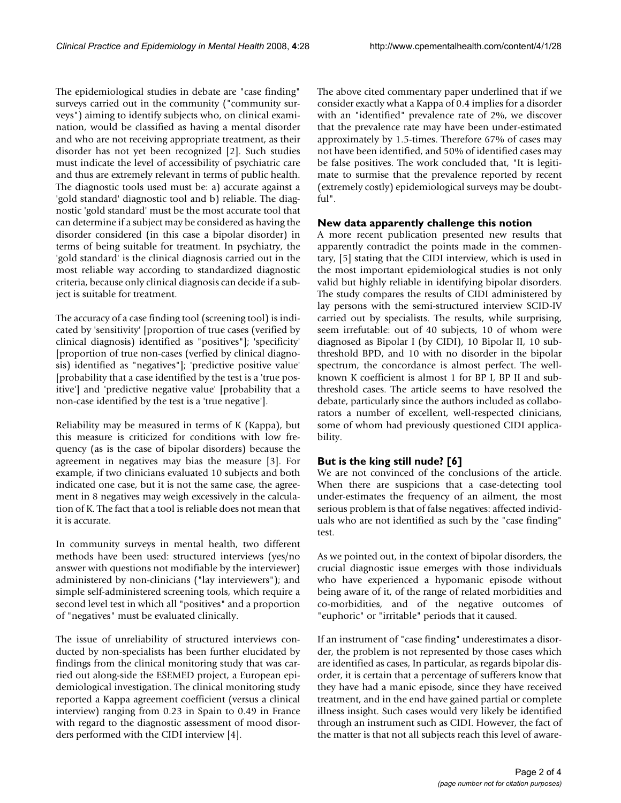The epidemiological studies in debate are "case finding" surveys carried out in the community ("community surveys") aiming to identify subjects who, on clinical examination, would be classified as having a mental disorder and who are not receiving appropriate treatment, as their disorder has not yet been recognized [2]. Such studies must indicate the level of accessibility of psychiatric care and thus are extremely relevant in terms of public health. The diagnostic tools used must be: a) accurate against a 'gold standard' diagnostic tool and b) reliable. The diagnostic 'gold standard' must be the most accurate tool that can determine if a subject may be considered as having the disorder considered (in this case a bipolar disorder) in terms of being suitable for treatment. In psychiatry, the 'gold standard' is the clinical diagnosis carried out in the most reliable way according to standardized diagnostic criteria, because only clinical diagnosis can decide if a subject is suitable for treatment.

The accuracy of a case finding tool (screening tool) is indicated by 'sensitivity' [proportion of true cases (verified by clinical diagnosis) identified as "positives"]; 'specificity' [proportion of true non-cases (verfied by clinical diagnosis) identified as "negatives"]; 'predictive positive value' [probability that a case identified by the test is a 'true positive'] and 'predictive negative value' [probability that a non-case identified by the test is a 'true negative'].

Reliability may be measured in terms of K (Kappa), but this measure is criticized for conditions with low frequency (as is the case of bipolar disorders) because the agreement in negatives may bias the measure [3]. For example, if two clinicians evaluated 10 subjects and both indicated one case, but it is not the same case, the agreement in 8 negatives may weigh excessively in the calculation of K. The fact that a tool is reliable does not mean that it is accurate.

In community surveys in mental health, two different methods have been used: structured interviews (yes/no answer with questions not modifiable by the interviewer) administered by non-clinicians ("lay interviewers"); and simple self-administered screening tools, which require a second level test in which all "positives" and a proportion of "negatives" must be evaluated clinically.

The issue of unreliability of structured interviews conducted by non-specialists has been further elucidated by findings from the clinical monitoring study that was carried out along-side the ESEMED project, a European epidemiological investigation. The clinical monitoring study reported a Kappa agreement coefficient (versus a clinical interview) ranging from 0.23 in Spain to 0.49 in France with regard to the diagnostic assessment of mood disorders performed with the CIDI interview [4].

The above cited commentary paper underlined that if we consider exactly what a Kappa of 0.4 implies for a disorder with an "identified" prevalence rate of 2%, we discover that the prevalence rate may have been under-estimated approximately by 1.5-times. Therefore 67% of cases may not have been identified, and 50% of identified cases may be false positives. The work concluded that, "It is legitimate to surmise that the prevalence reported by recent (extremely costly) epidemiological surveys may be doubtful".

#### **New data apparently challenge this notion**

A more recent publication presented new results that apparently contradict the points made in the commentary, [5] stating that the CIDI interview, which is used in the most important epidemiological studies is not only valid but highly reliable in identifying bipolar disorders. The study compares the results of CIDI administered by lay persons with the semi-structured interview SCID-IV carried out by specialists. The results, while surprising, seem irrefutable: out of 40 subjects, 10 of whom were diagnosed as Bipolar I (by CIDI), 10 Bipolar II, 10 subthreshold BPD, and 10 with no disorder in the bipolar spectrum, the concordance is almost perfect. The wellknown K coefficient is almost 1 for BP I, BP II and subthreshold cases. The article seems to have resolved the debate, particularly since the authors included as collaborators a number of excellent, well-respected clinicians, some of whom had previously questioned CIDI applicability.

#### **But is the king still nude? [6]**

We are not convinced of the conclusions of the article. When there are suspicions that a case-detecting tool under-estimates the frequency of an ailment, the most serious problem is that of false negatives: affected individuals who are not identified as such by the "case finding" test.

As we pointed out, in the context of bipolar disorders, the crucial diagnostic issue emerges with those individuals who have experienced a hypomanic episode without being aware of it, of the range of related morbidities and co-morbidities, and of the negative outcomes of "euphoric" or "irritable" periods that it caused.

If an instrument of "case finding" underestimates a disorder, the problem is not represented by those cases which are identified as cases, In particular, as regards bipolar disorder, it is certain that a percentage of sufferers know that they have had a manic episode, since they have received treatment, and in the end have gained partial or complete illness insight. Such cases would very likely be identified through an instrument such as CIDI. However, the fact of the matter is that not all subjects reach this level of aware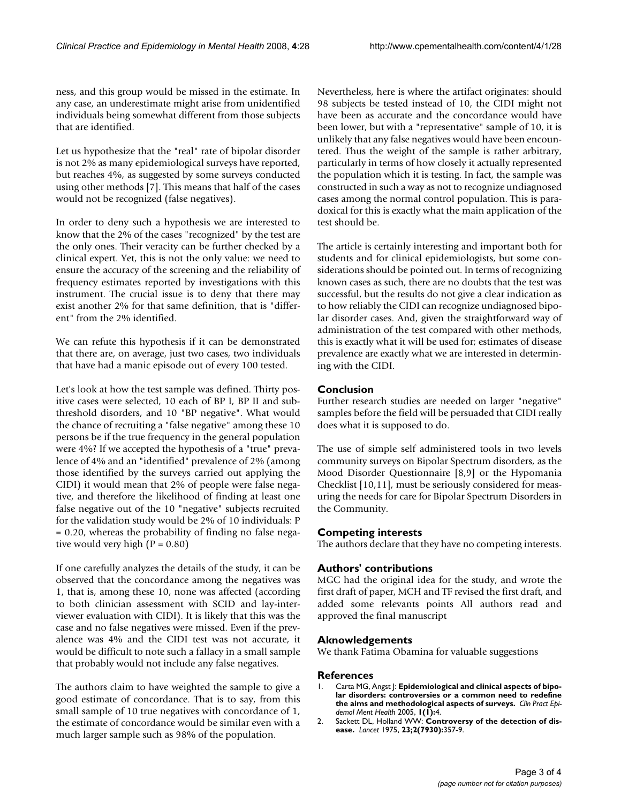ness, and this group would be missed in the estimate. In any case, an underestimate might arise from unidentified individuals being somewhat different from those subjects that are identified.

Let us hypothesize that the "real" rate of bipolar disorder is not 2% as many epidemiological surveys have reported, but reaches 4%, as suggested by some surveys conducted using other methods [7]. This means that half of the cases would not be recognized (false negatives).

In order to deny such a hypothesis we are interested to know that the 2% of the cases "recognized" by the test are the only ones. Their veracity can be further checked by a clinical expert. Yet, this is not the only value: we need to ensure the accuracy of the screening and the reliability of frequency estimates reported by investigations with this instrument. The crucial issue is to deny that there may exist another 2% for that same definition, that is "different" from the 2% identified.

We can refute this hypothesis if it can be demonstrated that there are, on average, just two cases, two individuals that have had a manic episode out of every 100 tested.

Let's look at how the test sample was defined. Thirty positive cases were selected, 10 each of BP I, BP II and subthreshold disorders, and 10 "BP negative". What would the chance of recruiting a "false negative" among these 10 persons be if the true frequency in the general population were 4%? If we accepted the hypothesis of a "true" prevalence of 4% and an "identified" prevalence of 2% (among those identified by the surveys carried out applying the CIDI) it would mean that 2% of people were false negative, and therefore the likelihood of finding at least one false negative out of the 10 "negative" subjects recruited for the validation study would be 2% of 10 individuals: P = 0.20, whereas the probability of finding no false negative would very high  $(P = 0.80)$ 

If one carefully analyzes the details of the study, it can be observed that the concordance among the negatives was 1, that is, among these 10, none was affected (according to both clinician assessment with SCID and lay-interviewer evaluation with CIDI). It is likely that this was the case and no false negatives were missed. Even if the prevalence was 4% and the CIDI test was not accurate, it would be difficult to note such a fallacy in a small sample that probably would not include any false negatives.

The authors claim to have weighted the sample to give a good estimate of concordance. That is to say, from this small sample of 10 true negatives with concordance of 1, the estimate of concordance would be similar even with a much larger sample such as 98% of the population.

Nevertheless, here is where the artifact originates: should 98 subjects be tested instead of 10, the CIDI might not have been as accurate and the concordance would have been lower, but with a "representative" sample of 10, it is unlikely that any false negatives would have been encountered. Thus the weight of the sample is rather arbitrary, particularly in terms of how closely it actually represented the population which it is testing. In fact, the sample was constructed in such a way as not to recognize undiagnosed cases among the normal control population. This is paradoxical for this is exactly what the main application of the test should be.

The article is certainly interesting and important both for students and for clinical epidemiologists, but some considerations should be pointed out. In terms of recognizing known cases as such, there are no doubts that the test was successful, but the results do not give a clear indication as to how reliably the CIDI can recognize undiagnosed bipolar disorder cases. And, given the straightforward way of administration of the test compared with other methods, this is exactly what it will be used for; estimates of disease prevalence are exactly what we are interested in determining with the CIDI.

#### **Conclusion**

Further research studies are needed on larger "negative" samples before the field will be persuaded that CIDI really does what it is supposed to do.

The use of simple self administered tools in two levels community surveys on Bipolar Spectrum disorders, as the Mood Disorder Questionnaire [8,9] or the Hypomania Checklist [10,11], must be seriously considered for measuring the needs for care for Bipolar Spectrum Disorders in the Community.

#### **Competing interests**

The authors declare that they have no competing interests.

#### **Authors' contributions**

MGC had the original idea for the study, and wrote the first draft of paper, MCH and TF revised the first draft, and added some relevants points All authors read and approved the final manuscript

#### **Aknowledgements**

We thank Fatima Obamina for valuable suggestions

#### **References**

- 1. Carta MG, Angst J: **[Epidemiological and clinical aspects of bipo](http://www.ncbi.nlm.nih.gov/entrez/query.fcgi?cmd=Retrieve&db=PubMed&dopt=Abstract&list_uids=15967053)[lar disorders: controversies or a common need to redefine](http://www.ncbi.nlm.nih.gov/entrez/query.fcgi?cmd=Retrieve&db=PubMed&dopt=Abstract&list_uids=15967053) [the aims and methodological aspects of surveys.](http://www.ncbi.nlm.nih.gov/entrez/query.fcgi?cmd=Retrieve&db=PubMed&dopt=Abstract&list_uids=15967053)** *Clin Pract Epidemol Ment Health* 2005, **1(1):**4.
- 2. Sackett DL, Holland WW: **Controversy of the detection of disease.** *Lancet* 1975, **23;2(7930):**357-9.